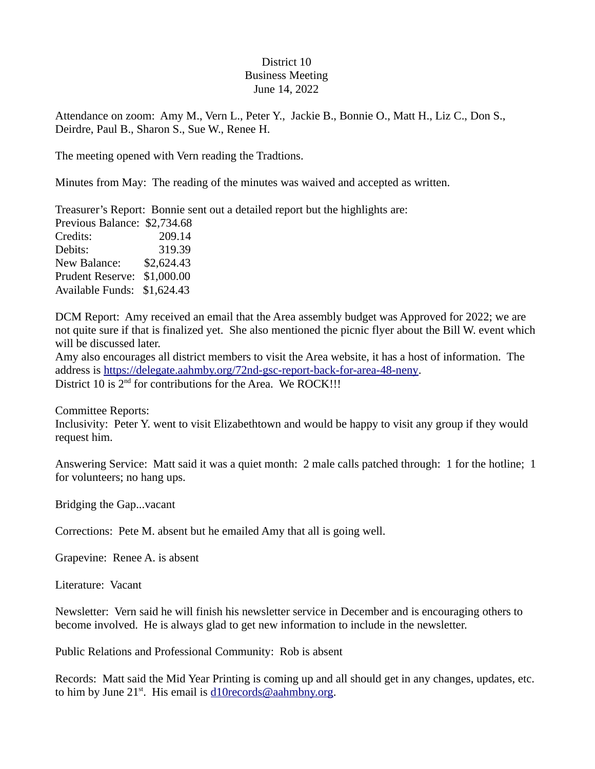## District 10 Business Meeting June 14, 2022

Attendance on zoom: Amy M., Vern L., Peter Y., Jackie B., Bonnie O., Matt H., Liz C., Don S., Deirdre, Paul B., Sharon S., Sue W., Renee H.

The meeting opened with Vern reading the Tradtions.

Minutes from May: The reading of the minutes was waived and accepted as written.

Treasurer's Report: Bonnie sent out a detailed report but the highlights are: Previous Balance: \$2,734.68 Credits: 209.14 Debits: 319.39 New Balance: \$2,624.43 Prudent Reserve: \$1,000.00 Available Funds: \$1,624.43

DCM Report: Amy received an email that the Area assembly budget was Approved for 2022; we are not quite sure if that is finalized yet. She also mentioned the picnic flyer about the Bill W. event which will be discussed later.

Amy also encourages all district members to visit the Area website, it has a host of information. The address is [https://delegate.aahmby.org/72nd-gsc-report-back-for-area-48-neny.](https://delegate.aahmby.org/72nd-gsc-report-back-for-area-48-neny) District 10 is  $2<sup>nd</sup>$  for contributions for the Area. We ROCK!!!

Committee Reports:

Inclusivity: Peter Y. went to visit Elizabethtown and would be happy to visit any group if they would request him.

Answering Service: Matt said it was a quiet month: 2 male calls patched through: 1 for the hotline; 1 for volunteers; no hang ups.

Bridging the Gap...vacant

Corrections: Pete M. absent but he emailed Amy that all is going well.

Grapevine: Renee A. is absent

Literature: Vacant

Newsletter: Vern said he will finish his newsletter service in December and is encouraging others to become involved. He is always glad to get new information to include in the newsletter.

Public Relations and Professional Community: Rob is absent

Records: Matt said the Mid Year Printing is coming up and all should get in any changes, updates, etc. to him by June  $21^{st}$ . His email is [d10records@aahmbny.org.](mailto:d10records@aahmbny.org)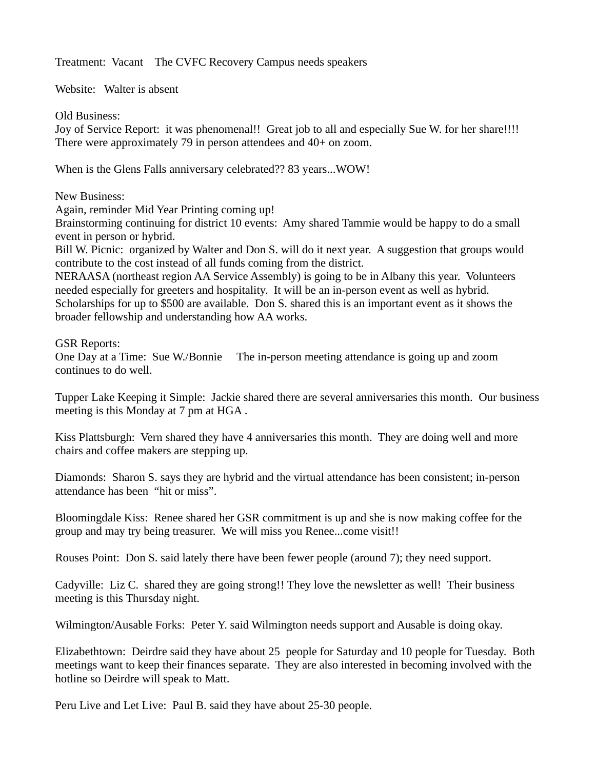Treatment: Vacant The CVFC Recovery Campus needs speakers

Website: Walter is absent

Old Business:

Joy of Service Report: it was phenomenal!! Great job to all and especially Sue W. for her share!!!! There were approximately 79 in person attendees and 40+ on zoom.

When is the Glens Falls anniversary celebrated?? 83 years...WOW!

New Business:

Again, reminder Mid Year Printing coming up!

Brainstorming continuing for district 10 events: Amy shared Tammie would be happy to do a small event in person or hybrid.

Bill W. Picnic: organized by Walter and Don S. will do it next year. A suggestion that groups would contribute to the cost instead of all funds coming from the district.

NERAASA (northeast region AA Service Assembly) is going to be in Albany this year. Volunteers needed especially for greeters and hospitality. It will be an in-person event as well as hybrid. Scholarships for up to \$500 are available. Don S. shared this is an important event as it shows the broader fellowship and understanding how AA works.

## GSR Reports:

One Day at a Time: Sue W./Bonnie The in-person meeting attendance is going up and zoom continues to do well.

Tupper Lake Keeping it Simple: Jackie shared there are several anniversaries this month. Our business meeting is this Monday at 7 pm at HGA .

Kiss Plattsburgh: Vern shared they have 4 anniversaries this month. They are doing well and more chairs and coffee makers are stepping up.

Diamonds: Sharon S. says they are hybrid and the virtual attendance has been consistent; in-person attendance has been "hit or miss".

Bloomingdale Kiss: Renee shared her GSR commitment is up and she is now making coffee for the group and may try being treasurer. We will miss you Renee...come visit!!

Rouses Point: Don S. said lately there have been fewer people (around 7); they need support.

Cadyville: Liz C. shared they are going strong!! They love the newsletter as well! Their business meeting is this Thursday night.

Wilmington/Ausable Forks: Peter Y. said Wilmington needs support and Ausable is doing okay.

Elizabethtown: Deirdre said they have about 25 people for Saturday and 10 people for Tuesday. Both meetings want to keep their finances separate. They are also interested in becoming involved with the hotline so Deirdre will speak to Matt.

Peru Live and Let Live: Paul B. said they have about 25-30 people.